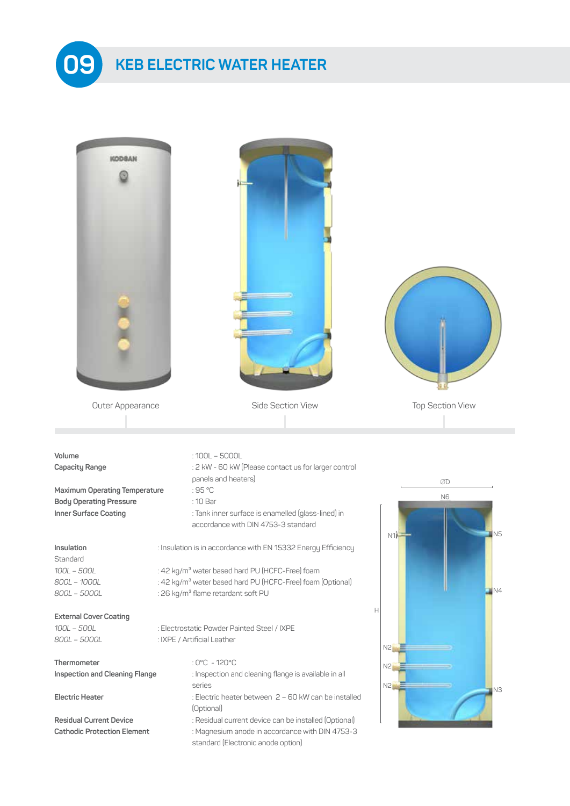

## **KEB ELECTRIC WATER HEATER 09**

| <b>KODBAN</b>                      |                                                                                           |                         |
|------------------------------------|-------------------------------------------------------------------------------------------|-------------------------|
|                                    |                                                                                           |                         |
|                                    |                                                                                           |                         |
| Outer Appearance                   | Side Section View                                                                         | <b>Top Section View</b> |
|                                    |                                                                                           |                         |
|                                    |                                                                                           |                         |
| Volume                             | $:100L - 5000L$                                                                           |                         |
| Capacity Range                     | : 2 kW - 60 kW (Please contact us for larger control                                      |                         |
|                                    | panels and heaters)                                                                       | ØD                      |
| Maximum Operating Temperature      | :95 °C                                                                                    | <b>N6</b>               |
| <b>Body Operating Pressure</b>     | : 10 Bar                                                                                  |                         |
| Inner Surface Coating              | : Tank inner surface is enamelled (glass-lined) in<br>accordance with DIN 4753-3 standard | N5<br>N1 <sub>H</sub>   |
| Insulation<br>Standard             | : Insulation is in accordance with EN 15332 Energy Efficiency                             |                         |
| 100L - 500L                        | : 42 kg/m <sup>3</sup> water based hard PU (HCFC-Free) foam                               |                         |
| 800L - 1000L                       | : 42 kg/m <sup>3</sup> water based hard PU (HCFC-Free) foam (Optional)                    |                         |
| 800L - 5000L                       | : 26 kg/m <sup>3</sup> flame retardant soft PU                                            | N4                      |
| <b>External Cover Coating</b>      |                                                                                           | Н                       |
| 100L - 500L                        | : Electrostatic Powder Painted Steel / IXPE                                               |                         |
| 800L - 5000L                       | : IXPE / Artificial Leather                                                               | N2                      |
| Thermometer                        | : 0°C - 120°C                                                                             |                         |
| Inspection and Cleaning Flange     | : Inspection and cleaning flange is available in all                                      | N2                      |
|                                    | series                                                                                    | N2                      |
| <b>Electric Heater</b>             | : Electric heater between 2 - 60 kW can be installed<br>(Optional)                        | IN <sub>3</sub>         |
| <b>Residual Current Device</b>     | : Residual current device can be installed (Optional)                                     |                         |
| <b>Cathodic Protection Element</b> | : Magnesium anode in accordance with DIN 4753-3<br>standard (Electronic anode option)     |                         |